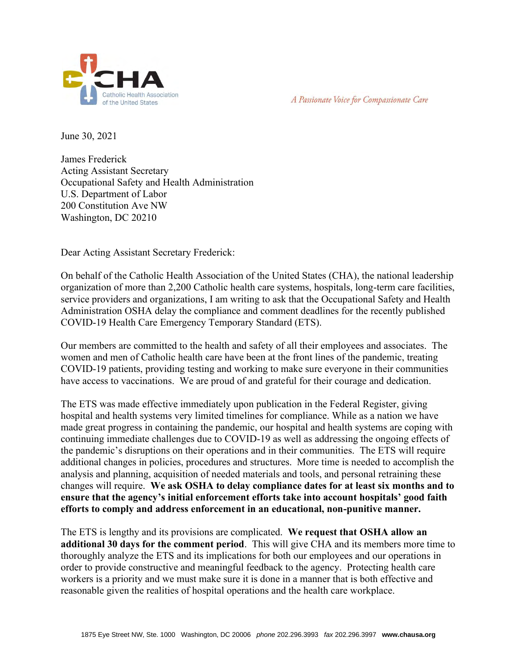



June 30, 2021

James Frederick Acting Assistant Secretary Occupational Safety and Health Administration U.S. Department of Labor 200 Constitution Ave NW Washington, DC 20210

Dear Acting Assistant Secretary Frederick:

On behalf of the Catholic Health Association of the United States (CHA), the national leadership organization of more than 2,200 Catholic health care systems, hospitals, long-term care facilities, service providers and organizations, I am writing to ask that the Occupational Safety and Health Administration OSHA delay the compliance and comment deadlines for the recently published COVID-19 Health Care Emergency Temporary Standard (ETS).

Our members are committed to the health and safety of all their employees and associates. The women and men of Catholic health care have been at the front lines of the pandemic, treating COVID-19 patients, providing testing and working to make sure everyone in their communities have access to vaccinations. We are proud of and grateful for their courage and dedication.

The ETS was made effective immediately upon publication in the Federal Register, giving hospital and health systems very limited timelines for compliance. While as a nation we have made great progress in containing the pandemic, our hospital and health systems are coping with continuing immediate challenges due to COVID-19 as well as addressing the ongoing effects of the pandemic's disruptions on their operations and in their communities. The ETS will require additional changes in policies, procedures and structures. More time is needed to accomplish the analysis and planning, acquisition of needed materials and tools, and personal retraining these changes will require. **We ask OSHA to delay compliance dates for at least six months and to ensure that the agency's initial enforcement efforts take into account hospitals' good faith efforts to comply and address enforcement in an educational, non-punitive manner.**

The ETS is lengthy and its provisions are complicated. **We request that OSHA allow an additional 30 days for the comment period**. This will give CHA and its members more time to thoroughly analyze the ETS and its implications for both our employees and our operations in order to provide constructive and meaningful feedback to the agency. Protecting health care workers is a priority and we must make sure it is done in a manner that is both effective and reasonable given the realities of hospital operations and the health care workplace.